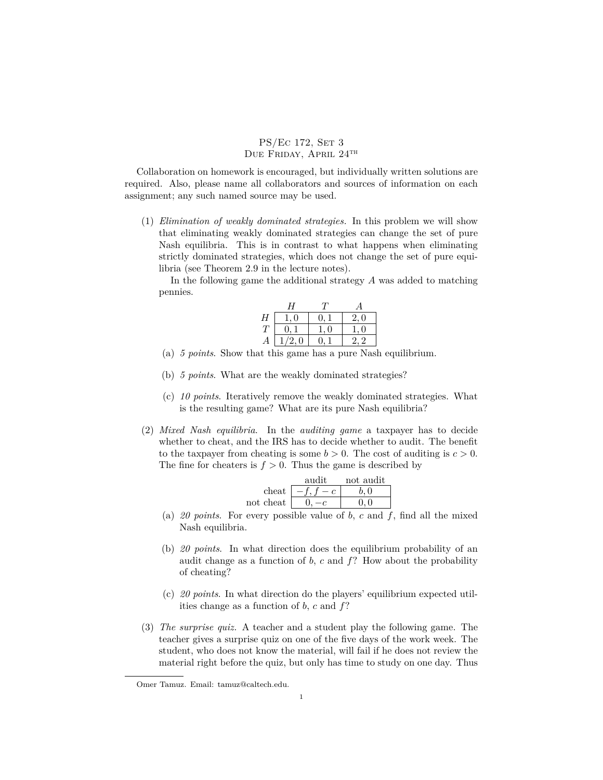## PS/Ec 172, SET 3 DUE FRIDAY, APRIL 24TH

Collaboration on homework is encouraged, but individually written solutions are required. Also, please name all collaborators and sources of information on each assignment; any such named source may be used.

(1) *Elimination of weakly dominated strategies.* In this problem we will show that eliminating weakly dominated strategies can change the set of pure Nash equilibria. This is in contrast to what happens when eliminating strictly dominated strategies, which does not change the set of pure equilibria (see Theorem 2.9 in the lecture notes).

In the following game the additional strategy *A* was added to matching pennies.

|   | Н                  |            |     |
|---|--------------------|------------|-----|
| Η | $\Omega$           | $^{\circ}$ | 2,0 |
| Т | $\left( 0 \right)$ | $\Box$     | - 0 |
| А | 1/2,0              | 0          |     |

- (a) *5 points*. Show that this game has a pure Nash equilibrium.
- (b) *5 points*. What are the weakly dominated strategies?
- (c) *10 points*. Iteratively remove the weakly dominated strategies. What is the resulting game? What are its pure Nash equilibria?
- (2) *Mixed Nash equilibria*. In the *auditing game* a taxpayer has to decide whether to cheat, and the IRS has to decide whether to audit. The benefit to the taxpayer from cheating is some  $b > 0$ . The cost of auditing is  $c > 0$ . The fine for cheaters is  $f > 0$ . Thus the game is described by

|                            | audit | not audit |
|----------------------------|-------|-----------|
| cheat                      |       | 6 O       |
| $\operatorname{not}$ cheat |       |           |

- (a) *20 points*. For every possible value of *b*, *c* and *f*, find all the mixed Nash equilibria.
- (b) *20 points*. In what direction does the equilibrium probability of an audit change as a function of *b*, *c* and *f*? How about the probability of cheating?
- (c) *20 points*. In what direction do the players' equilibrium expected utilities change as a function of *b*, *c* and *f*?
- (3) *The surprise quiz.* A teacher and a student play the following game. The teacher gives a surprise quiz on one of the five days of the work week. The student, who does not know the material, will fail if he does not review the material right before the quiz, but only has time to study on one day. Thus

Omer Tamuz. Email: tamuz@caltech.edu.